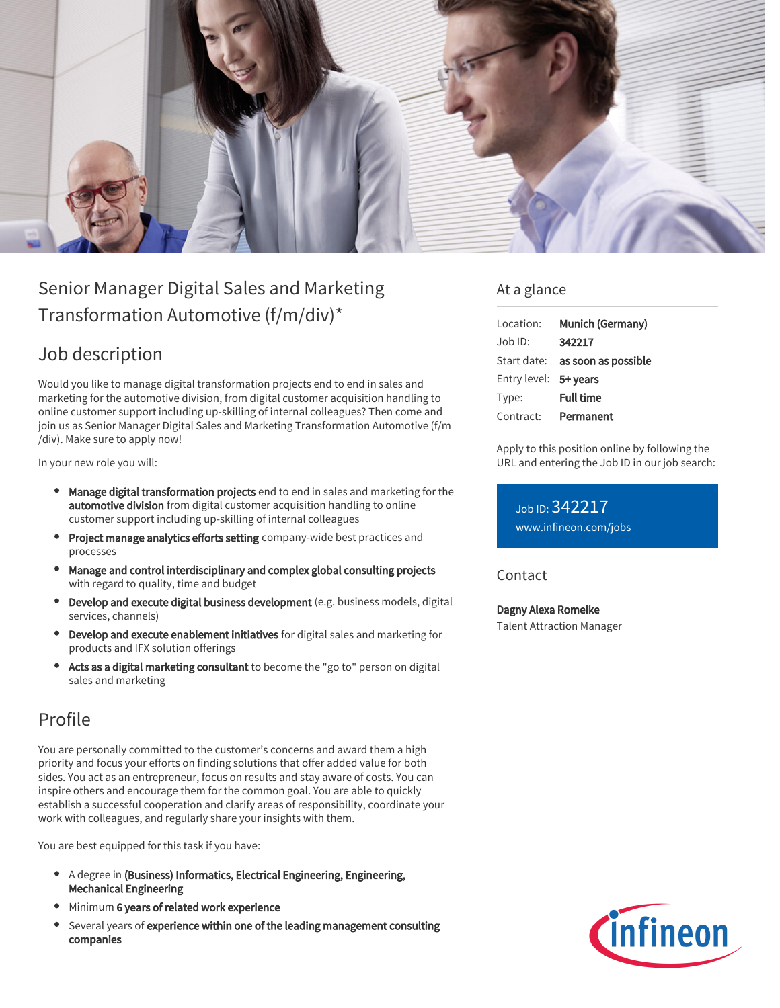

# Senior Manager Digital Sales and Marketing Transformation Automotive (f/m/div)\*

## Job description

Would you like to manage digital transformation projects end to end in sales and marketing for the automotive division, from digital customer acquisition handling to online customer support including up-skilling of internal colleagues? Then come and join us as Senior Manager Digital Sales and Marketing Transformation Automotive (f/m /div). Make sure to apply now!

In your new role you will:

- **Manage digital transformation projects** end to end in sales and marketing for the automotive division from digital customer acquisition handling to online customer support including up-skilling of internal colleagues
- Project manage analytics efforts setting company-wide best practices and processes
- Manage and control interdisciplinary and complex global consulting projects with regard to quality, time and budget
- Develop and execute digital business development (e.g. business models, digital services, channels)
- Develop and execute enablement initiatives for digital sales and marketing for products and IFX solution offerings
- Acts as a digital marketing consultant to become the "go to" person on digital sales and marketing

### Profile

You are personally committed to the customer's concerns and award them a high priority and focus your efforts on finding solutions that offer added value for both sides. You act as an entrepreneur, focus on results and stay aware of costs. You can inspire others and encourage them for the common goal. You are able to quickly establish a successful cooperation and clarify areas of responsibility, coordinate your work with colleagues, and regularly share your insights with them.

You are best equipped for this task if you have:

- A degree in (Business) Informatics, Electrical Engineering, Engineering, Mechanical Engineering
- Minimum 6 years of related work experience
- Several years of experience within one of the leading management consulting companies

#### At a glance

| Location:             | Munich (Germany)                       |
|-----------------------|----------------------------------------|
| $Job$ ID:             | 342217                                 |
|                       | Start date: <b>as soon as possible</b> |
| Entry level: 5+ years |                                        |
| Type:                 | <b>Full time</b>                       |
| Contract:             | Permanent                              |

Apply to this position online by following the URL and entering the Job ID in our job search:

Job ID: 342217 [www.infineon.com/jobs](https://www.infineon.com/jobs)

#### Contact

Dagny Alexa Romeike Talent Attraction Manager